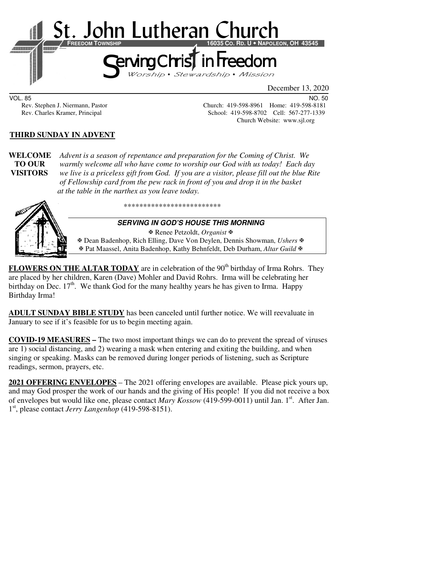

VOL. 85 NO. 50

Rev. Stephen J. Niermann, Pastor Church: 419-598-8961 Home: 419-598-8181<br>Rev. Charles Kramer, Principal School: 419-598-8702 Cell: 567-277-1339 School: 419-598-8702 Cell: 567-277-1339 Church Website: www.sjl.org

## **THIRD SUNDAY IN ADVENT**

**WELCOME** *Advent is a season of repentance and preparation for the Coming of Christ. We* **TO OUR** *warmly welcome all who have come to worship our God with us today! Each day*  **VISITORS** *we live is a priceless gift from God. If you are a visitor, please fill out the blue Rite of Fellowship card from the pew rack in front of you and drop it in the basket at the table in the narthex as you leave today.* 



\*\*\*\*\*\*\*\*\*\*\*\*\*\*\*\*\*\*\*\*\*\*\*\*\*

#### **SERVING IN GOD'S HOUSE THIS MORNING**

 Renee Petzoldt, *Organist* Dean Badenhop, Rich Elling, Dave Von Deylen, Dennis Showman, *Ushers* Pat Maassel, Anita Badenhop, Kathy Behnfeldt, Deb Durham, *Altar Guild*

FLOWERS ON THE ALTAR TODAY are in celebration of the 90<sup>th</sup> birthday of Irma Rohrs. They are placed by her children, Karen (Dave) Mohler and David Rohrs. Irma will be celebrating her birthday on Dec.  $17<sup>th</sup>$ . We thank God for the many healthy years he has given to Irma. Happy Birthday Irma!

**ADULT SUNDAY BIBLE STUDY** has been canceled until further notice. We will reevaluate in January to see if it's feasible for us to begin meeting again.

**COVID-19 MEASURES –** The two most important things we can do to prevent the spread of viruses are 1) social distancing, and 2) wearing a mask when entering and exiting the building, and when singing or speaking. Masks can be removed during longer periods of listening, such as Scripture readings, sermon, prayers, etc.

**2021 OFFERING ENVELOPES** – The 2021 offering envelopes are available. Please pick yours up, and may God prosper the work of our hands and the giving of His people! If you did not receive a box of envelopes but would like one, please contact *Mary Kossow* (419-599-0011) until Jan. 1<sup>st</sup>. After Jan. 1 st, please contact *Jerry Langenhop* (419-598-8151).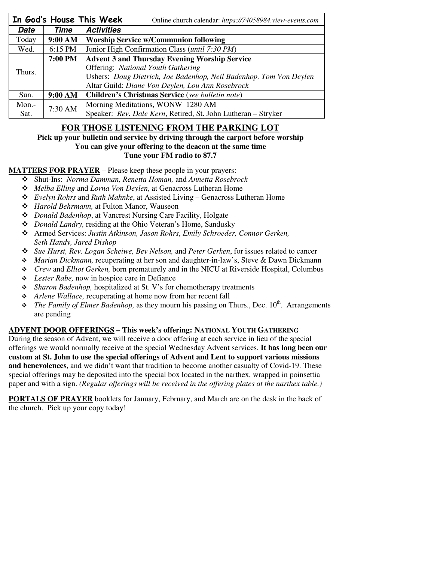|        |         | In God's House This Week<br>Online church calendar: https://74058984.view-events.com |  |  |
|--------|---------|--------------------------------------------------------------------------------------|--|--|
| Date   | Time    | <b>Activities</b>                                                                    |  |  |
| Today  | 9:00 AM | <b>Worship Service w/Communion following</b>                                         |  |  |
| Wed.   | 6:15 PM | Junior High Confirmation Class ( <i>until 7:30 PM</i> )                              |  |  |
| Thurs. | 7:00 PM | <b>Advent 3 and Thursday Evening Worship Service</b>                                 |  |  |
|        |         | <b>Offering: National Youth Gathering</b>                                            |  |  |
|        |         | Ushers: Doug Dietrich, Joe Badenhop, Neil Badenhop, Tom Von Deylen                   |  |  |
|        |         | Altar Guild: Diane Von Deylen, Lou Ann Rosebrock                                     |  |  |
| Sun.   | 9:00 AM | Children's Christmas Service (see bulletin note)                                     |  |  |
| Mon.-  | 7:30 AM | Morning Meditations, WONW 1280 AM                                                    |  |  |
| Sat.   |         | Speaker: Rev. Dale Kern, Retired, St. John Lutheran - Stryker                        |  |  |

## **FOR THOSE LISTENING FROM THE PARKING LOT**

## **Pick up your bulletin and service by driving through the carport before worship**

## **You can give your offering to the deacon at the same time**

## **Tune your FM radio to 87.7**

## **MATTERS FOR PRAYER** – Please keep these people in your prayers:

- Shut-Ins: *Norma Damman, Renetta Homan,* and *Annetta Rosebrock*
- *Melba Elling* and *Lorna Von Deylen*, at Genacross Lutheran Home
- *Evelyn Rohrs* and *Ruth Mahnke*, at Assisted Living Genacross Lutheran Home
- *Harold Behrmann,* at Fulton Manor, Wauseon
- *Donald Badenhop*, at Vancrest Nursing Care Facility, Holgate
- *Donald Landry,* residing at the Ohio Veteran's Home, Sandusky
- Armed Services: *Justin Atkinson, Jason Rohrs*, *Emily Schroeder, Connor Gerken, Seth Handy, Jared Dishop*
- *Sue Hurst, Rev. Logan Scheiwe, Bev Nelson,* and *Peter Gerken*, for issues related to cancer
- *Marian Dickmann,* recuperating at her son and daughter-in-law's, Steve & Dawn Dickmann
- *Crew* and *Elliot Gerken,* born prematurely and in the NICU at Riverside Hospital, Columbus
- *Lester Rabe,* now in hospice care in Defiance
- *Sharon Badenhop,* hospitalized at St. V's for chemotherapy treatments
- *Arlene Wallace,* recuperating at home now from her recent fall
- $\div$  *The Family of Elmer Badenhop,* as they mourn his passing on Thurs., Dec. 10<sup>th</sup>. Arrangements are pending

## **ADVENT DOOR OFFERINGS – This week's offering: NATIONAL YOUTH GATHERING**

During the season of Advent, we will receive a door offering at each service in lieu of the special offerings we would normally receive at the special Wednesday Advent services. **It has long been our custom at St. John to use the special offerings of Advent and Lent to support various missions and benevolences**, and we didn't want that tradition to become another casualty of Covid-19. These special offerings may be deposited into the special box located in the narthex, wrapped in poinsettia paper and with a sign. *(Regular offerings will be received in the offering plates at the narthex table.)* 

**PORTALS OF PRAYER** booklets for January, February, and March are on the desk in the back of the church. Pick up your copy today!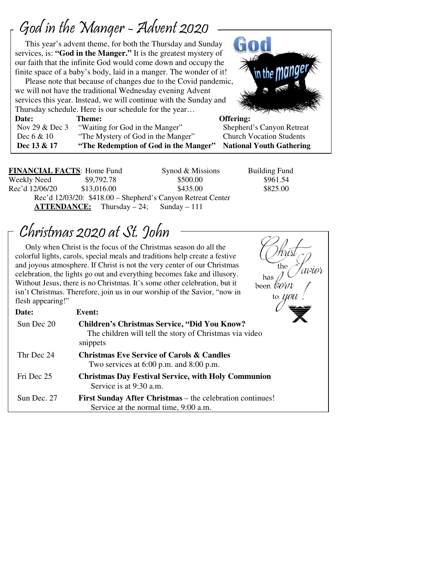# God in the Manger - Advent 2020

 $\overline{1}$ 

 $\overline{a}$ 

 This year's advent theme, for both the Thursday and Sunday services, is: **"God in the Manger."** It is the greatest mystery of our faith that the infinite God would come down and occupy the finite space of a baby's body, laid in a manger. The wonder of it!

 Please note that because of changes due to the Covid pandemic, we will not have the traditional Wednesday evening Advent services this year. Instead, we will continue with the Sunday and Thursday schedule. Here is our schedule for the year…



| <b>Date:</b>     | Theme:                                | Offering:                       |
|------------------|---------------------------------------|---------------------------------|
| Nov 29 $&$ Dec 3 | "Waiting for God in the Manger"       | Shepherd's Canyon Retreat       |
| Dec $6 & 10$     | "The Mystery of God in the Manger"    | <b>Church Vocation Students</b> |
| Dec 13 & 17      | "The Redemption of God in the Manger" | <b>National Youth Gathering</b> |

**FINANCIAL FACTS:** Home Fund Synod & Missions Building Fund Weekly Need  $$9,792.78$  \$500.00 \$961.54 Rec'd 12/06/20 \$13,016.00 \$435.00 \$435.00 \$825.00 Rec'd 12/03/20: \$418.00 – Shepherd's Canyon Retreat Center **ATTENDANCE:** Thursday – 24; Sunday – 111

the

to *UOW* 

has been leam 'avior

# Christmas 2020 at St. John

 Only when Christ is the focus of the Christmas season do all the colorful lights, carols, special meals and traditions help create a festive and joyous atmosphere. If Christ is not the very center of our Christmas celebration, the lights go out and everything becomes fake and illusory. Without Jesus, there is no Christmas. It's some other celebration, but it isn't Christmas. Therefore, join us in our worship of the Savior, "now in flesh appearing!"

| Date:       | Event:                                                                                                                     |  |
|-------------|----------------------------------------------------------------------------------------------------------------------------|--|
| Sun Dec 20  | <b>Children's Christmas Service, "Did You Know?</b><br>The children will tell the story of Christmas via video<br>snippets |  |
| Thr Dec 24  | <b>Christmas Eve Service of Carols &amp; Candles</b><br>Two services at $6:00$ p.m. and $8:00$ p.m.                        |  |
| Fri Dec 25  | <b>Christmas Day Festival Service, with Holy Communion</b><br>Service is at 9:30 a.m.                                      |  |
| Sun Dec. 27 | <b>First Sunday After Christmas – the celebration continues!</b><br>Service at the normal time, 9:00 a.m.                  |  |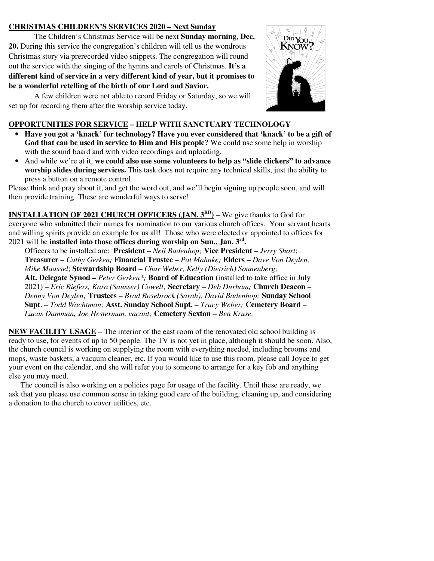## **CHRISTMAS CHILDREN'S SERVICES 2020 – Next Sunday**

The Children's Christmas Service will be next **Sunday morning, Dec. 20.** During this service the congregation's children will tell us the wondrous Christmas story via prerecorded video snippets. The congregation will round out the service with the singing of the hymns and carols of Christmas. **It's a different kind of service in a very different kind of year, but it promises to be a wonderful retelling of the birth of our Lord and Savior.** 

A few children were not able to record Friday or Saturday, so we will set up for recording them after the worship service today.



## **OPPORTUNITIES FOR SERVICE – HELP WITH SANCTUARY TECHNOLOGY**

- **Have you got a 'knack' for technology? Have you ever considered that 'knack' to be a gift of God that can be used in service to Him and His people?** We could use some help in worship with the sound board and with video recordings and uploading.
- And while we're at it, **we could also use some volunteers to help as "slide clickers" to advance worship slides during services.** This task does not require any technical skills, just the ability to press a button on a remote control.

Please think and pray about it, and get the word out, and we'll begin signing up people soon, and will then provide training. These are wonderful ways to serve!

**INSTALLATION OF 2021 CHURCH OFFICERS (JAN. 3<sup>RD</sup>) – We give thanks to God for** everyone who submitted their names for nomination to our various church offices. Your servant hearts and willing spirits provide an example for us all! Those who were elected or appointed to offices for 2021 will be **installed into those offices during worship on Sun., Jan. 3rd .** 

Officers to be installed are: **President** – *Neil Badenhop;* **Vice President** – *Jerry Short*; **Treasurer** – *Cathy Gerken;* **Financial Trustee** – *Pat Mahnke;* **Elders** – *Dave Von Deylen, Mike Maassel*; **Stewardship Board** – *Char Weber, Kelly (Dietrich) Sonnenberg;*  **Alt. Delegate Synod –** *Peter Gerken\*;* **Board of Education** (installed to take office in July 2021) – *Eric Riefers, Kara (Sausser) Cowell;* **Secretary** – *Deb Durham;* **Church Deacon** –

*Denny Von Deylen;* **Trustees** – *Brad Rosebrock (Sarah), David Badenhop;* **Sunday School Supt**. – *Todd Wachtman;* **Asst. Sunday School Supt.** *– Tracy Weber;* **Cemetery Board** – *Lucas Damman, Joe Hesterman, vacant;* **Cemetery Sexton** *– Ben Kruse.* 

**NEW FACILITY USAGE** – The interior of the east room of the renovated old school building is ready to use, for events of up to 50 people. The TV is not yet in place, although it should be soon. Also, the church council is working on supplying the room with everything needed, including brooms and mops, waste baskets, a vacuum cleaner, etc. If you would like to use this room, please call Joyce to get your event on the calendar, and she will refer you to someone to arrange for a key fob and anything else you may need.

 The council is also working on a policies page for usage of the facility. Until these are ready, we ask that you please use common sense in taking good care of the building, cleaning up, and considering a donation to the church to cover utilities, etc.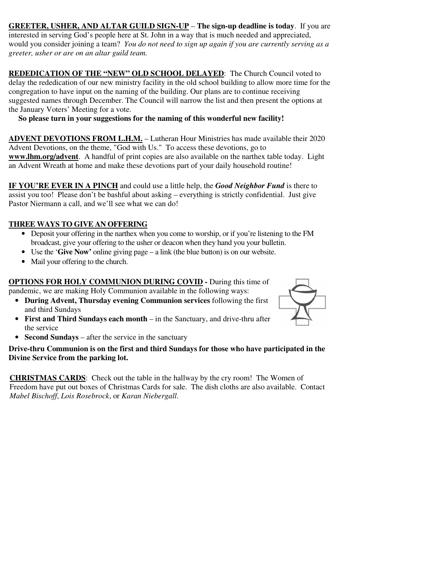**GREETER, USHER, AND ALTAR GUILD SIGN-UP** – **The sign-up deadline is today**. If you are interested in serving God's people here at St. John in a way that is much needed and appreciated, would you consider joining a team? *You do not need to sign up again if you are currently serving as a greeter, usher or are on an altar guild team.*

**REDEDICATION OF THE "NEW" OLD SCHOOL DELAYED**: The Church Council voted to delay the rededication of our new ministry facility in the old school building to allow more time for the congregation to have input on the naming of the building. Our plans are to continue receiving suggested names through December. The Council will narrow the list and then present the options at the January Voters' Meeting for a vote.

 **So please turn in your suggestions for the naming of this wonderful new facility!** 

**ADVENT DEVOTIONS FROM L.H.M.** – Lutheran Hour Ministries has made available their 2020 Advent Devotions, on the theme, "God with Us." To access these devotions, go to **www.lhm.org/advent**. A handful of print copies are also available on the narthex table today. Light an Advent Wreath at home and make these devotions part of your daily household routine!

**IF YOU'RE EVER IN A PINCH** and could use a little help, the *Good Neighbor Fund* is there to assist you too! Please don't be bashful about asking – everything is strictly confidential. Just give Pastor Niermann a call, and we'll see what we can do!

## **THREE WAYS TO GIVE AN OFFERING**

- Deposit your offering in the narthex when you come to worship, or if you're listening to the FM broadcast, give your offering to the usher or deacon when they hand you your bulletin.
- Use the '**Give Now'** online giving page a link (the blue button) is on our website.
- Mail your offering to the church.

**OPTIONS FOR HOLY COMMUNION DURING COVID -** During this time of pandemic, we are making Holy Communion available in the following ways:

- **During Advent, Thursday evening Communion services** following the first and third Sundays
- **First and Third Sundays each month** in the Sanctuary, and drive-thru after the service
- **Second Sundays** after the service in the sanctuary

## **Drive-thru Communion is on the first and third Sundays for those who have participated in the Divine Service from the parking lot.**

**CHRISTMAS CARDS**: Check out the table in the hallway by the cry room! The Women of Freedom have put out boxes of Christmas Cards for sale. The dish cloths are also available. Contact *Mabel Bischoff*, *Lois Rosebrock*, or *Karan Niebergall*.